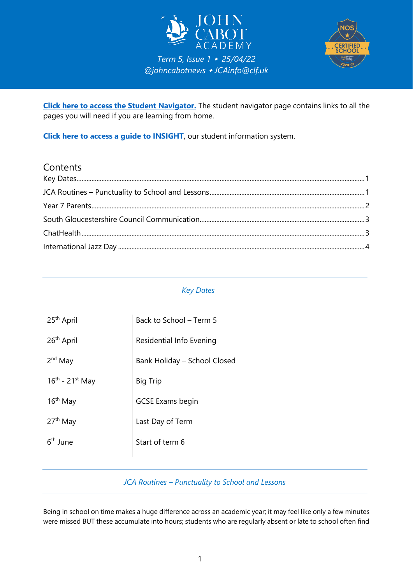



**[Click here to access the Student Navigator.](https://navigator.clf.uk/JCA/Students/index.html#gsc.tab=0)** The student navigator page contains links to all the pages you will need if you are learning from home.

**[Click here to access a guide to INSIGHT](https://clfacademies-my.sharepoint.com/:b:/g/personal/patrick_bolton_clf_uk/EbhMioLl4btPtlPuXZUUUJwBtulZyKuG2WdF9qY1vlRMOA?e=O5E3dJ)**, our student information system.

## **Contents**

## <span id="page-0-0"></span>*Key Dates*

| 25 <sup>th</sup> April | Back to School - Term 5      |
|------------------------|------------------------------|
| 26 <sup>th</sup> April | Residential Info Evening     |
| $2nd$ May              | Bank Holiday - School Closed |
| $16^{th}$ - 21st May   | <b>Big Trip</b>              |
| $16th$ May             | <b>GCSE Exams begin</b>      |
| $27th$ May             | Last Day of Term             |
| 6 <sup>th</sup> June   | Start of term 6              |
|                        |                              |

## *JCA Routines – Punctuality to School and Lessons*

<span id="page-0-1"></span>Being in school on time makes a huge difference across an academic year; it may feel like only a few minutes were missed BUT these accumulate into hours; students who are regularly absent or late to school often find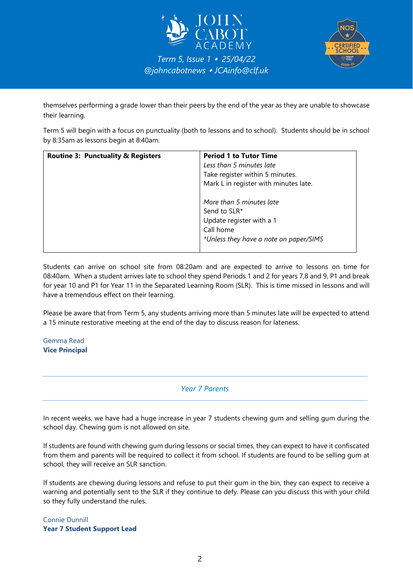



themselves performing a grade lower than their peers by the end of the year as they are unable to showcase their learning.

Term 5 will begin with a focus on punctuality (both to lessons and to school). Students should be in school by 8:35am as lessons begin at 8:40am.

| <b>Routine 3: Punctuality &amp; Registers</b> | <b>Period 1 to Tutor Time</b><br>Less than 5 minutes late<br>Take register within 5 minutes.<br>Mark L in register with minutes late. |
|-----------------------------------------------|---------------------------------------------------------------------------------------------------------------------------------------|
|                                               | More than 5 minutes late<br>Send to SLR*<br>Update register with a 1<br>Call home<br>*Unless they have a note on paper/SIMS           |

Students can arrive on school site from 08:20am and are expected to arrive to lessons on time for 08:40am. When a student arrives late to school they spend Periods 1 and 2 for years 7,8 and 9, P1 and break for year 10 and P1 for Year 11 in the Separated Learning Room (SLR). This is time missed in lessons and will have a tremendous effect on their learning.

Please be aware that from Term 5, any students arriving more than 5 minutes late will be expected to attend a 15 minute restorative meeting at the end of the day to discuss reason for lateness.

<span id="page-1-0"></span>Gemma Read **Vice Principal**

*Year 7 Parents*

In recent weeks, we have had a huge increase in year 7 students chewing gum and selling gum during the school day. Chewing gum is not allowed on site.

If students are found with chewing gum during lessons or social times, they can expect to have it confiscated from them and parents will be required to collect it from school. If students are found to be selling gum at school, they will receive an SLR sanction.

If students are chewing during lessons and refuse to put their gum in the bin, they can expect to receive a warning and potentially sent to the SLR if they continue to defy. Please can you discuss this with your child so they fully understand the rules.

Connie Dunnill **Year 7 Student Support Lead**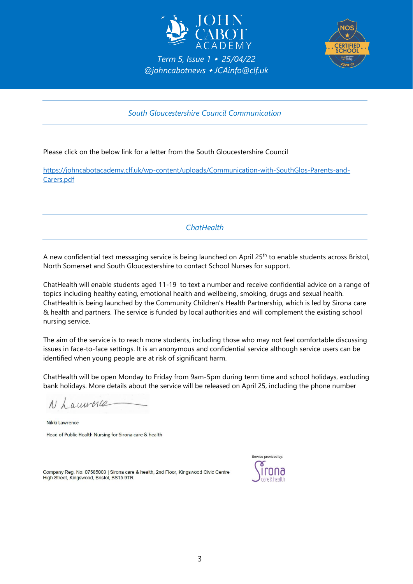



*South Gloucestershire Council Communication*

<span id="page-2-0"></span>Please click on the below link for a letter from the South Gloucestershire Council

<span id="page-2-1"></span>[https://johncabotacademy.clf.uk/wp-content/uploads/Communication-with-SouthGlos-Parents-and-](https://johncabotacademy.clf.uk/wp-content/uploads/Communication-with-SouthGlos-Parents-and-Carers.pdf)[Carers.pdf](https://johncabotacademy.clf.uk/wp-content/uploads/Communication-with-SouthGlos-Parents-and-Carers.pdf)

*ChatHealth*

A new confidential text messaging service is being launched on April 25<sup>th</sup> to enable students across Bristol, North Somerset and South Gloucestershire to contact School Nurses for support.

ChatHealth will enable students aged 11-19 to text a number and receive confidential advice on a range of topics including healthy eating, emotional health and wellbeing, smoking, drugs and sexual health. ChatHealth is being launched by the Community Children's Health Partnership, which is led by Sirona care & health and partners. The service is funded by local authorities and will complement the existing school nursing service.

The aim of the service is to reach more students, including those who may not feel comfortable discussing issues in face-to-face settings. It is an anonymous and confidential service although service users can be identified when young people are at risk of significant harm.

ChatHealth will be open Monday to Friday from 9am-5pm during term time and school holidays, excluding bank holidays. More details about the service will be released on April 25, including the phone number

N Laurence

Nikki Lawrence Head of Public Health Nursing for Sirona care & health

Company Reg. No: 07585003 | Sirona care & health, 2nd Floor, Kingswood Civic Centre High Street, Kingswood, Bristol, BS15 9TR